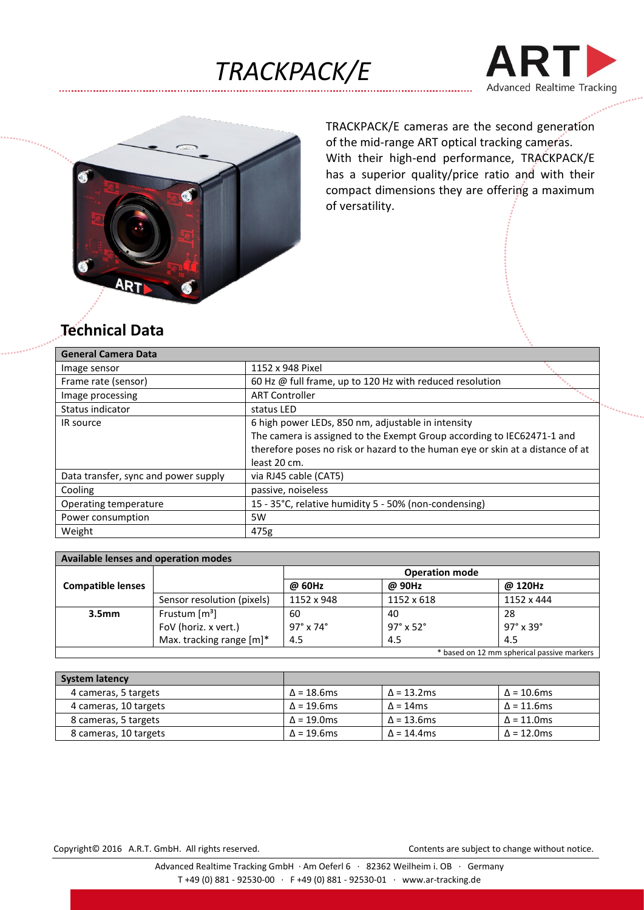





TRACKPACK/E cameras are the second generation of the mid-range ART optical tracking cameras. With their high-end performance, TRACKPACK/E has a superior quality/price ratio and with their compact dimensions they are offering a maximum of versatility.

## **Technical Data**

| <b>General Camera Data</b>           |                                                                                |  |  |
|--------------------------------------|--------------------------------------------------------------------------------|--|--|
| Image sensor                         | 1152 x 948 Pixel                                                               |  |  |
| Frame rate (sensor)                  | 60 Hz @ full frame, up to 120 Hz with reduced resolution                       |  |  |
| Image processing                     | <b>ART Controller</b>                                                          |  |  |
| Status indicator                     | status LED                                                                     |  |  |
| IR source                            | 6 high power LEDs, 850 nm, adjustable in intensity                             |  |  |
|                                      | The camera is assigned to the Exempt Group according to IEC62471-1 and         |  |  |
|                                      | therefore poses no risk or hazard to the human eye or skin at a distance of at |  |  |
|                                      | least 20 cm.                                                                   |  |  |
| Data transfer, sync and power supply | via RJ45 cable (CAT5)                                                          |  |  |
| Cooling                              | passive, noiseless                                                             |  |  |
| Operating temperature                | 15 - 35°C, relative humidity 5 - 50% (non-condensing)                          |  |  |
| Power consumption                    | 5W                                                                             |  |  |
| Weight                               | 475g                                                                           |  |  |

| Available lenses and operation modes       |                             |                            |                            |                            |  |  |  |
|--------------------------------------------|-----------------------------|----------------------------|----------------------------|----------------------------|--|--|--|
|                                            |                             | <b>Operation mode</b>      |                            |                            |  |  |  |
| <b>Compatible lenses</b>                   |                             | @ 60Hz                     | @ 90Hz                     | @ 120Hz                    |  |  |  |
|                                            | Sensor resolution (pixels)  | 1152 x 948                 | 1152 x 618                 | 1152 x 444                 |  |  |  |
| 3.5 <sub>mm</sub>                          | Frustum $\lceil m^3 \rceil$ | 60                         | 40                         | 28                         |  |  |  |
|                                            | FoV (horiz. x vert.)        | $97^\circ \times 74^\circ$ | $97^\circ \times 52^\circ$ | $97^\circ \times 39^\circ$ |  |  |  |
|                                            | Max. tracking range [m]*    | 4.5                        | 4.5                        | 4.5                        |  |  |  |
| * based on 12 mm spherical passive markers |                             |                            |                            |                            |  |  |  |

| <b>System latency</b> |                   |                   |                   |
|-----------------------|-------------------|-------------------|-------------------|
| 4 cameras, 5 targets  | $\Delta$ = 18.6ms | $\Delta$ = 13.2ms | $\Delta$ = 10.6ms |
| 4 cameras, 10 targets | $\Delta$ = 19.6ms | $\Delta$ = 14ms   | $\Delta$ = 11.6ms |
| 8 cameras, 5 targets  | $\Delta$ = 19.0ms | $\Delta$ = 13.6ms | $\Delta$ = 11.0ms |
| 8 cameras, 10 targets | $\Delta$ = 19.6ms | $\Delta$ = 14.4ms | $\Delta$ = 12.0ms |

Copyright© 2016 A.R.T. GmbH. All rights reserved. Contents are subject to change without notice.